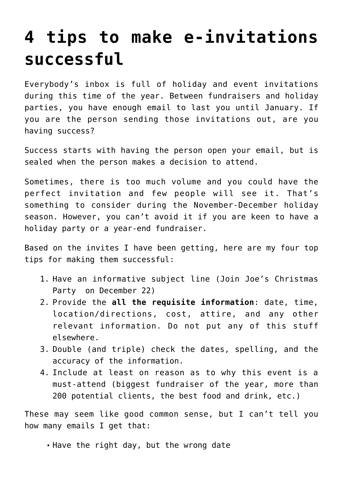## **[4 tips to make e-invitations](https://deborahbrody.com/2011/11/4-tips-to-make-e-invitations-successful/) [successful](https://deborahbrody.com/2011/11/4-tips-to-make-e-invitations-successful/)**

Everybody's inbox is full of holiday and event invitations during this time of the year. Between fundraisers and holiday parties, you have enough email to last you until January. If you are the person sending those invitations out, are you having success?

Success starts with having the person open your email, but is sealed when the person makes a decision to attend.

Sometimes, there is too much volume and you could have the perfect invitation and few people will see it. That's something to consider during the November-December holiday season. However, you can't avoid it if you are keen to have a holiday party or a year-end fundraiser.

Based on the invites I have been getting, here are my four top tips for making them successful:

- 1. Have an informative subject line (Join Joe's Christmas Party on December 22)
- 2. Provide the **all the requisite information**: date, time, location/directions, cost, attire, and any other relevant information. Do not put any of this stuff elsewhere.
- 3. Double (and triple) check the dates, spelling, and the accuracy of the information.
- 4. Include at least on reason as to why this event is a must-attend (biggest fundraiser of the year, more than 200 potential clients, the best food and drink, etc.)

These may seem like good common sense, but I can't tell you how many emails I get that:

. Have the right day, but the wrong date